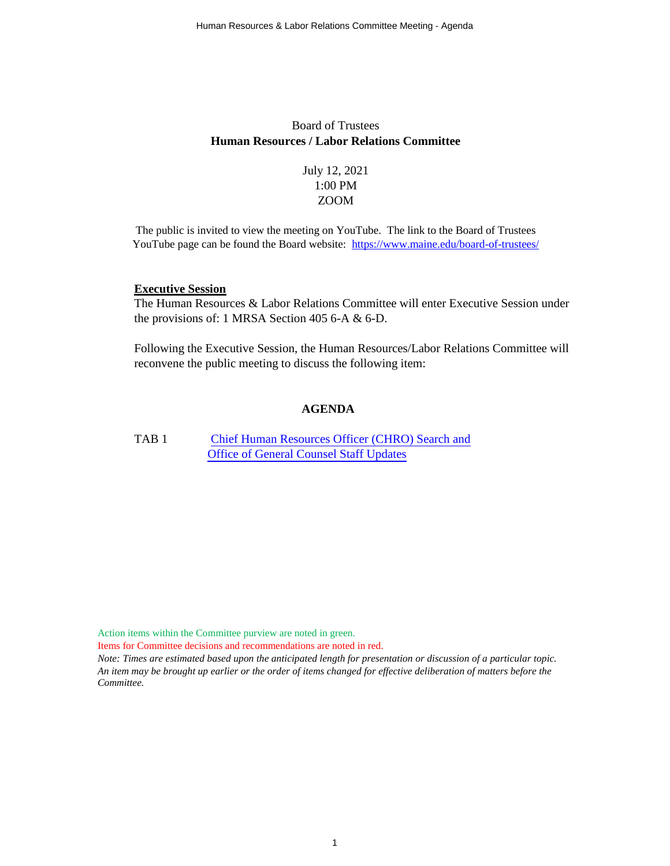# Board of Trustees **Human Resources / Labor Relations Committee**

July 12, 2021 1:00 PM ZOOM

The public is invited to view the meeting on YouTube. The link to the Board of Trustees YouTube page can be found the Board website: <https://www.maine.edu/board-of-trustees/>

#### **Executive Session**

The Human Resources & Labor Relations Committee will enter Executive Session under the provisions of: 1 MRSA Section 405 6-A & 6-D.

Following the Executive Session, the Human Resources/Labor Relations Committee will reconvene the public meeting to discuss the following item:

## **AGENDA**

TAB 1 [Chief Human Resources Officer \(CHRO\) Search and](#page-1-0) [Office of General Counsel Staff Updates](#page-1-0)

Action items within the Committee purview are noted in green.

Items for Committee decisions and recommendations are noted in red.

*Note: Times are estimated based upon the anticipated length for presentation or discussion of a particular topic. An item may be brought up earlier or the order of items changed for effective deliberation of matters before the Committee.*